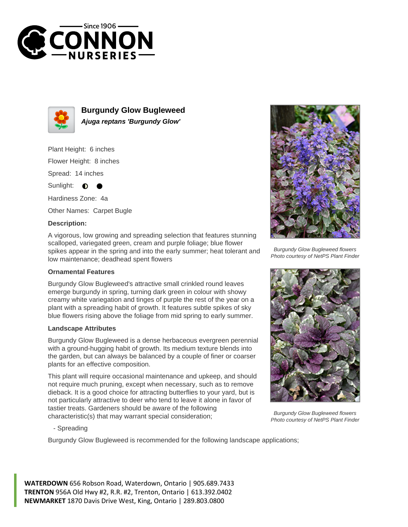



**Burgundy Glow Bugleweed Ajuga reptans 'Burgundy Glow'**

Plant Height: 6 inches Flower Height: 8 inches Spread: 14 inches

Sunlight:  $\bullet$ 

Hardiness Zone: 4a

Other Names: Carpet Bugle

## **Description:**

A vigorous, low growing and spreading selection that features stunning scalloped, variegated green, cream and purple foliage; blue flower spikes appear in the spring and into the early summer; heat tolerant and low maintenance; deadhead spent flowers

## **Ornamental Features**

Burgundy Glow Bugleweed's attractive small crinkled round leaves emerge burgundy in spring, turning dark green in colour with showy creamy white variegation and tinges of purple the rest of the year on a plant with a spreading habit of growth. It features subtle spikes of sky blue flowers rising above the foliage from mid spring to early summer.

## **Landscape Attributes**

Burgundy Glow Bugleweed is a dense herbaceous evergreen perennial with a ground-hugging habit of growth. Its medium texture blends into the garden, but can always be balanced by a couple of finer or coarser plants for an effective composition.

This plant will require occasional maintenance and upkeep, and should not require much pruning, except when necessary, such as to remove dieback. It is a good choice for attracting butterflies to your yard, but is not particularly attractive to deer who tend to leave it alone in favor of tastier treats. Gardeners should be aware of the following characteristic(s) that may warrant special consideration;



Burgundy Glow Bugleweed flowers Photo courtesy of NetPS Plant Finder



Burgundy Glow Bugleweed flowers Photo courtesy of NetPS Plant Finder

- Spreading

Burgundy Glow Bugleweed is recommended for the following landscape applications;

**WATERDOWN** 656 Robson Road, Waterdown, Ontario | 905.689.7433 **TRENTON** 956A Old Hwy #2, R.R. #2, Trenton, Ontario | 613.392.0402 **NEWMARKET** 1870 Davis Drive West, King, Ontario | 289.803.0800